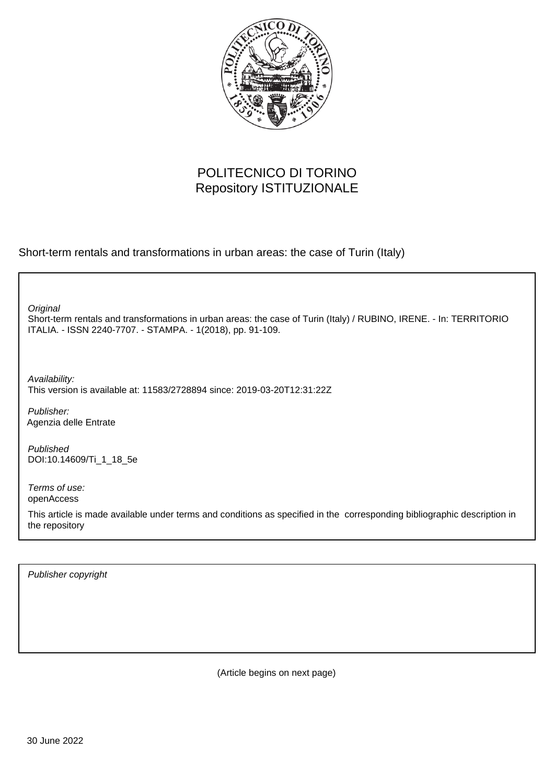

# POLITECNICO DI TORINO Repository ISTITUZIONALE

Short-term rentals and transformations in urban areas: the case of Turin (Italy)

**Original** 

Short-term rentals and transformations in urban areas: the case of Turin (Italy) / RUBINO, IRENE. - In: TERRITORIO ITALIA. - ISSN 2240-7707. - STAMPA. - 1(2018), pp. 91-109.

Availability: This version is available at: 11583/2728894 since: 2019-03-20T12:31:22Z

Publisher: Agenzia delle Entrate

Published DOI:10.14609/Ti\_1\_18\_5e

Terms of use: openAccess

This article is made available under terms and conditions as specified in the corresponding bibliographic description in the repository

Publisher copyright

(Article begins on next page)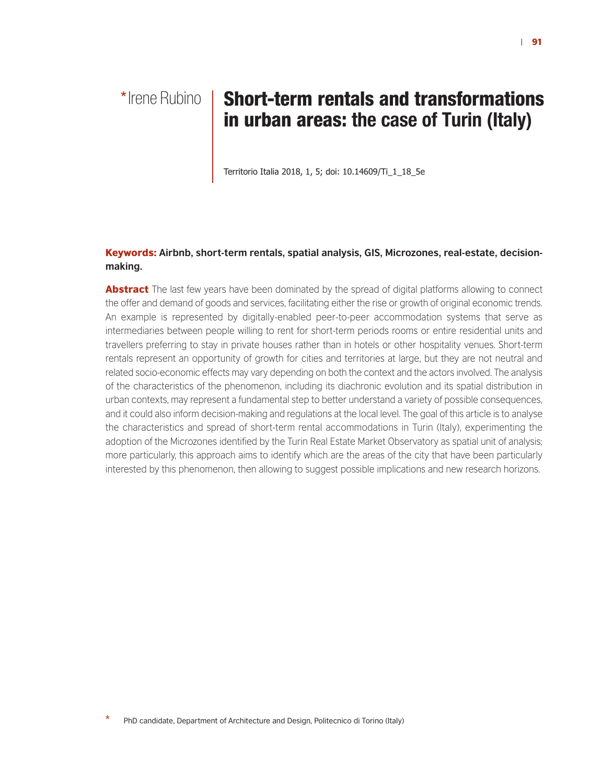# \*Irene Rubino **Short-term rentals and transformations in urban areas: the case of Turin (Italy)**

Territorio Italia 2018, 1, 5; doi: 10.14609/Ti\_1\_18\_5e

#### **Keywords: Airbnb, short-term rentals, spatial analysis, GIS, Microzones, real-estate, decisionmaking.**

**Abstract** The last few years have been dominated by the spread of digital platforms allowing to connect the offer and demand of goods and services, facilitating either the rise or growth of original economic trends. An example is represented by digitally-enabled peer-to-peer accommodation systems that serve as intermediaries between people willing to rent for short-term periods rooms or entire residential units and travellers preferring to stay in private houses rather than in hotels or other hospitality venues. Short-term rentals represent an opportunity of growth for cities and territories at large, but they are not neutral and related socio-economic effects may vary depending on both the context and the actors involved. The analysis of the characteristics of the phenomenon, including its diachronic evolution and its spatial distribution in urban contexts, may represent a fundamental step to better understand a variety of possible consequences, and it could also inform decision-making and regulations at the local level. The goal of this article is to analyse the characteristics and spread of short-term rental accommodations in Turin (Italy), experimenting the adoption of the Microzones identified by the Turin Real Estate Market Observatory as spatial unit of analysis; more particularly, this approach aims to identify which are the areas of the city that have been particularly interested by this phenomenon, then allowing to suggest possible implications and new research horizons.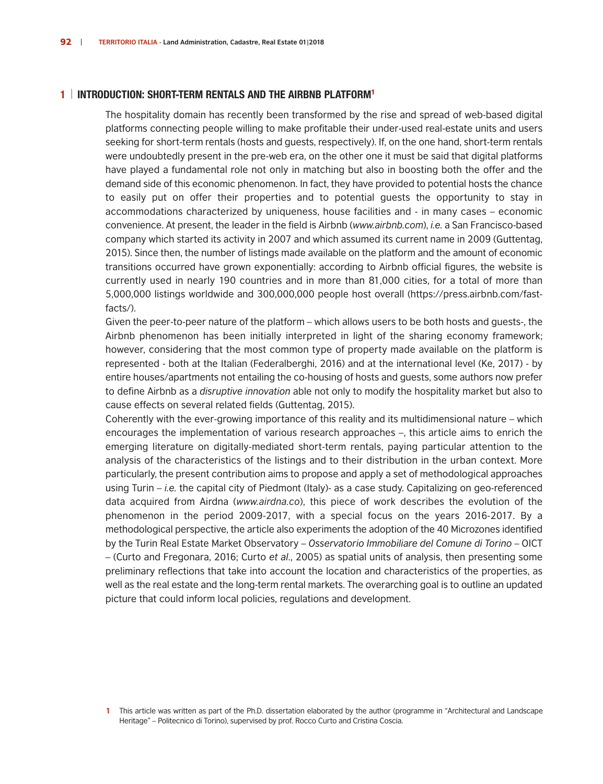#### **1 | INTRODUCTION: SHORT-TERM RENTALS AND THE AIRBNB PLATFORM1**

The hospitality domain has recently been transformed by the rise and spread of web-based digital platforms connecting people willing to make profitable their under-used real-estate units and users seeking for short-term rentals (hosts and guests, respectively). If, on the one hand, short-term rentals were undoubtedly present in the pre-web era, on the other one it must be said that digital platforms have played a fundamental role not only in matching but also in boosting both the offer and the demand side of this economic phenomenon. In fact, they have provided to potential hosts the chance to easily put on offer their properties and to potential guests the opportunity to stay in accommodations characterized by uniqueness, house facilities and - in many cases – economic convenience. At present, the leader in the field is Airbnb (*www.airbnb.com*), *i.e.* a San Francisco-based company which started its activity in 2007 and which assumed its current name in 2009 (Guttentag, 2015). Since then, the number of listings made available on the platform and the amount of economic transitions occurred have grown exponentially: according to Airbnb official figures, the website is currently used in nearly 190 countries and in more than 81,000 cities, for a total of more than 5,000,000 listings worldwide and 300,000,000 people host overall (https://press.airbnb.com/fastfacts/).

Given the peer-to-peer nature of the platform – which allows users to be both hosts and guests-, the Airbnb phenomenon has been initially interpreted in light of the sharing economy framework; however, considering that the most common type of property made available on the platform is represented - both at the Italian (Federalberghi, 2016) and at the international level (Ke, 2017) - by entire houses/apartments not entailing the co-housing of hosts and guests, some authors now prefer to define Airbnb as a *disruptive innovation* able not only to modify the hospitality market but also to cause effects on several related fields (Guttentag, 2015).

Coherently with the ever-growing importance of this reality and its multidimensional nature – which encourages the implementation of various research approaches –, this article aims to enrich the emerging literature on digitally-mediated short-term rentals, paying particular attention to the analysis of the characteristics of the listings and to their distribution in the urban context. More particularly, the present contribution aims to propose and apply a set of methodological approaches using Turin – *i.e.* the capital city of Piedmont (Italy)- as a case study. Capitalizing on geo-referenced data acquired from Airdna (*www.airdna.co*), this piece of work describes the evolution of the phenomenon in the period 2009-2017, with a special focus on the years 2016-2017. By a methodological perspective, the article also experiments the adoption of the 40 Microzones identified by the Turin Real Estate Market Observatory – *Osservatorio Immobiliare del Comune di Torino* – OICT – (Curto and Fregonara, 2016; Curto *et al*., 2005) as spatial units of analysis, then presenting some preliminary reflections that take into account the location and characteristics of the properties, as well as the real estate and the long-term rental markets. The overarching goal is to outline an updated picture that could inform local policies, regulations and development.

**<sup>1</sup>** This article was written as part of the Ph.D. dissertation elaborated by the author (programme in "Architectural and Landscape Heritage" – Politecnico di Torino), supervised by prof. Rocco Curto and Cristina Coscia.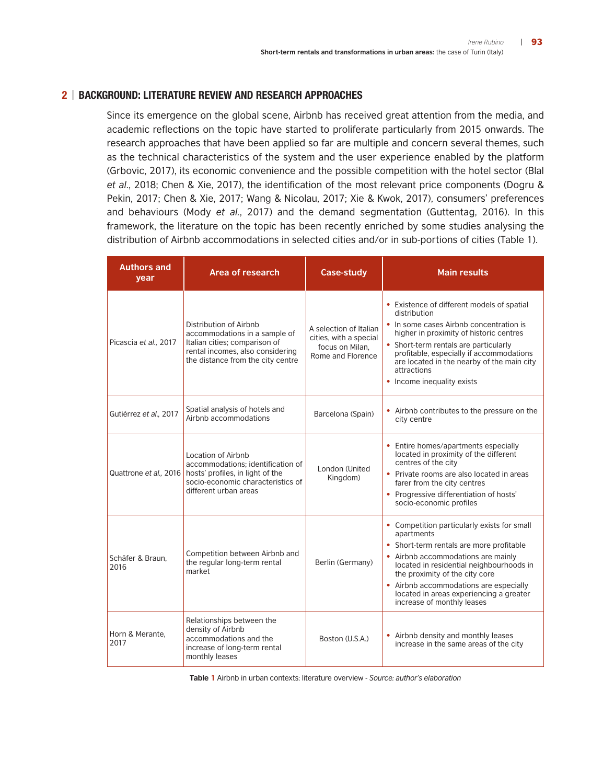## **2 | BACKGROUND: LITERATURE REVIEW AND RESEARCH APPROACHES**

Since its emergence on the global scene, Airbnb has received great attention from the media, and academic reflections on the topic have started to proliferate particularly from 2015 onwards. The research approaches that have been applied so far are multiple and concern several themes, such as the technical characteristics of the system and the user experience enabled by the platform (Grbovic, 2017), its economic convenience and the possible competition with the hotel sector (Blal *et al*., 2018; Chen & Xie, 2017), the identification of the most relevant price components (Dogru & Pekin, 2017; Chen & Xie, 2017; Wang & Nicolau, 2017; Xie & Kwok, 2017), consumers' preferences and behaviours (Mody *et al.*, 2017) and the demand segmentation (Guttentag, 2016). In this framework, the literature on the topic has been recently enriched by some studies analysing the distribution of Airbnb accommodations in selected cities and/or in sub-portions of cities (Table 1).

| <b>Authors and</b><br>year | <b>Area of research</b>                                                                                                                                           | <b>Case-study</b>                                                                        | <b>Main results</b>                                                                                                                                                                                                                                                                                                                          |  |
|----------------------------|-------------------------------------------------------------------------------------------------------------------------------------------------------------------|------------------------------------------------------------------------------------------|----------------------------------------------------------------------------------------------------------------------------------------------------------------------------------------------------------------------------------------------------------------------------------------------------------------------------------------------|--|
| Picascia et al., 2017      | Distribution of Airbnb<br>accommodations in a sample of<br>Italian cities; comparison of<br>rental incomes, also considering<br>the distance from the city centre | A selection of Italian<br>cities, with a special<br>focus on Milan.<br>Rome and Florence | • Existence of different models of spatial<br>distribution<br>• In some cases Airbnb concentration is<br>higher in proximity of historic centres<br>• Short-term rentals are particularly<br>profitable, especially if accommodations<br>are located in the nearby of the main city<br>attractions<br>• Income inequality exists             |  |
| Gutiérrez et al., 2017     | Spatial analysis of hotels and<br>Airbnb accommodations                                                                                                           | Barcelona (Spain)                                                                        | • Airbnb contributes to the pressure on the<br>city centre                                                                                                                                                                                                                                                                                   |  |
| Quattrone et al., 2016     | Location of Airbnb<br>accommodations; identification of<br>hosts' profiles, in light of the<br>socio-economic characteristics of<br>different urban areas         | London (United<br>Kingdom)                                                               | • Entire homes/apartments especially<br>located in proximity of the different<br>centres of the city<br>• Private rooms are also located in areas<br>farer from the city centres<br>• Progressive differentiation of hosts'<br>socio-economic profiles                                                                                       |  |
| Schäfer & Braun.<br>2016   | Competition between Airbnb and<br>the regular long-term rental<br>market                                                                                          | Berlin (Germany)                                                                         | • Competition particularly exists for small<br>apartments<br>• Short-term rentals are more profitable<br>• Airbnb accommodations are mainly<br>located in residential neighbourhoods in<br>the proximity of the city core<br>• Airbnb accommodations are especially<br>located in areas experiencing a greater<br>increase of monthly leases |  |
| Horn & Merante,<br>2017    | Relationships between the<br>density of Airbnb<br>accommodations and the<br>increase of long-term rental<br>monthly leases                                        | Boston (U.S.A.)                                                                          | • Airbnb density and monthly leases<br>increase in the same areas of the city                                                                                                                                                                                                                                                                |  |

**Table 1** Airbnb in urban contexts: literature overview - *Source: author's elaboration*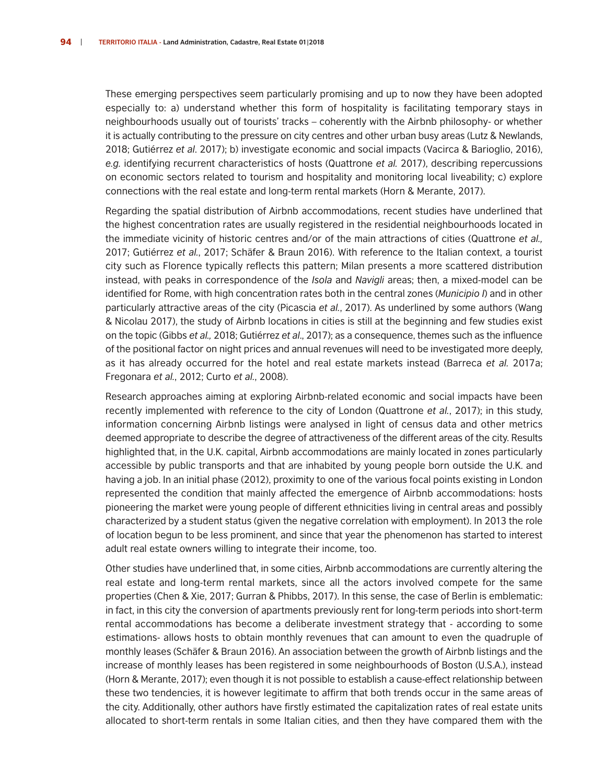These emerging perspectives seem particularly promising and up to now they have been adopted especially to: a) understand whether this form of hospitality is facilitating temporary stays in neighbourhoods usually out of tourists' tracks – coherently with the Airbnb philosophy- or whether it is actually contributing to the pressure on city centres and other urban busy areas (Lutz & Newlands, 2018; Gutiérrez *et al*. 2017); b) investigate economic and social impacts (Vacirca & Barioglio, 2016), *e.g.* identifying recurrent characteristics of hosts (Quattrone *et al.* 2017), describing repercussions on economic sectors related to tourism and hospitality and monitoring local liveability; c) explore connections with the real estate and long-term rental markets (Horn & Merante, 2017).

Regarding the spatial distribution of Airbnb accommodations, recent studies have underlined that the highest concentration rates are usually registered in the residential neighbourhoods located in the immediate vicinity of historic centres and/or of the main attractions of cities (Quattrone *et al.,* 2017; Gutiérrez *et al.*, 2017; Schäfer & Braun 2016). With reference to the Italian context, a tourist city such as Florence typically reflects this pattern; Milan presents a more scattered distribution instead, with peaks in correspondence of the *Isola* and *Navigli* areas; then, a mixed-model can be identified for Rome, with high concentration rates both in the central zones (*Municipio I*) and in other particularly attractive areas of the city (Picascia *et al.*, 2017). As underlined by some authors (Wang & Nicolau 2017), the study of Airbnb locations in cities is still at the beginning and few studies exist on the topic (Gibbs *et al.,* 2018; Gutiérrez *et al*., 2017); as a consequence, themes such as the influence of the positional factor on night prices and annual revenues will need to be investigated more deeply, as it has already occurred for the hotel and real estate markets instead (Barreca *et al.* 2017a; Fregonara *et al.*, 2012; Curto *et al.*, 2008).

Research approaches aiming at exploring Airbnb-related economic and social impacts have been recently implemented with reference to the city of London (Quattrone *et al.*, 2017); in this study, information concerning Airbnb listings were analysed in light of census data and other metrics deemed appropriate to describe the degree of attractiveness of the different areas of the city. Results highlighted that, in the U.K. capital, Airbnb accommodations are mainly located in zones particularly accessible by public transports and that are inhabited by young people born outside the U.K. and having a job. In an initial phase (2012), proximity to one of the various focal points existing in London represented the condition that mainly affected the emergence of Airbnb accommodations: hosts pioneering the market were young people of different ethnicities living in central areas and possibly characterized by a student status (given the negative correlation with employment). In 2013 the role of location begun to be less prominent, and since that year the phenomenon has started to interest adult real estate owners willing to integrate their income, too.

Other studies have underlined that, in some cities, Airbnb accommodations are currently altering the real estate and long-term rental markets, since all the actors involved compete for the same properties (Chen & Xie, 2017; Gurran & Phibbs, 2017). In this sense, the case of Berlin is emblematic: in fact, in this city the conversion of apartments previously rent for long-term periods into short-term rental accommodations has become a deliberate investment strategy that - according to some estimations- allows hosts to obtain monthly revenues that can amount to even the quadruple of monthly leases (Schäfer & Braun 2016). An association between the growth of Airbnb listings and the increase of monthly leases has been registered in some neighbourhoods of Boston (U.S.A.), instead (Horn & Merante, 2017); even though it is not possible to establish a cause-effect relationship between these two tendencies, it is however legitimate to affirm that both trends occur in the same areas of the city. Additionally, other authors have firstly estimated the capitalization rates of real estate units allocated to short-term rentals in some Italian cities, and then they have compared them with the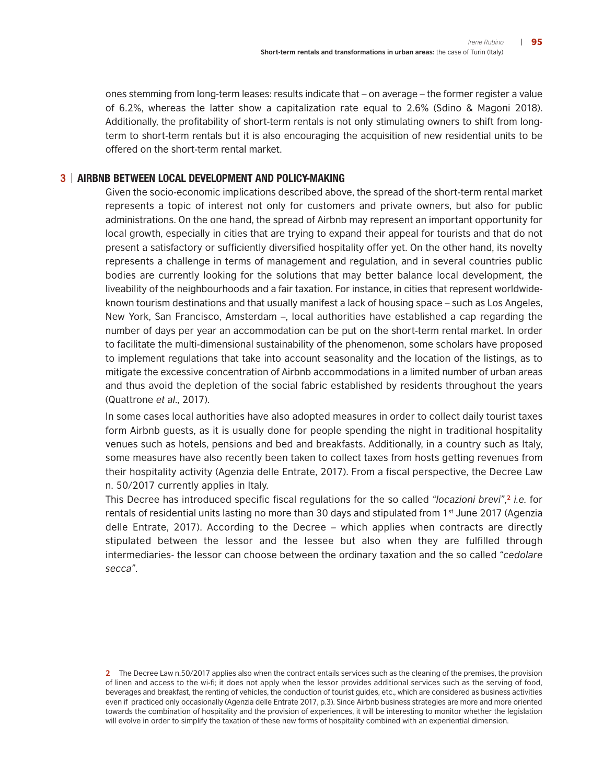ones stemming from long-term leases: results indicate that – on average – the former register a value of 6.2%, whereas the latter show a capitalization rate equal to 2.6% (Sdino & Magoni 2018). Additionally, the profitability of short-term rentals is not only stimulating owners to shift from longterm to short-term rentals but it is also encouraging the acquisition of new residential units to be offered on the short-term rental market.

### **3 | AIRBNB BETWEEN LOCAL DEVELOPMENT AND POLICY-MAKING**

Given the socio-economic implications described above, the spread of the short-term rental market represents a topic of interest not only for customers and private owners, but also for public administrations. On the one hand, the spread of Airbnb may represent an important opportunity for local growth, especially in cities that are trying to expand their appeal for tourists and that do not present a satisfactory or sufficiently diversified hospitality offer yet. On the other hand, its novelty represents a challenge in terms of management and regulation, and in several countries public bodies are currently looking for the solutions that may better balance local development, the liveability of the neighbourhoods and a fair taxation. For instance, in cities that represent worldwideknown tourism destinations and that usually manifest a lack of housing space – such as Los Angeles, New York, San Francisco, Amsterdam –, local authorities have established a cap regarding the number of days per year an accommodation can be put on the short-term rental market. In order to facilitate the multi-dimensional sustainability of the phenomenon, some scholars have proposed to implement regulations that take into account seasonality and the location of the listings, as to mitigate the excessive concentration of Airbnb accommodations in a limited number of urban areas and thus avoid the depletion of the social fabric established by residents throughout the years (Quattrone *et al*., 2017).

In some cases local authorities have also adopted measures in order to collect daily tourist taxes form Airbnb guests, as it is usually done for people spending the night in traditional hospitality venues such as hotels, pensions and bed and breakfasts. Additionally, in a country such as Italy, some measures have also recently been taken to collect taxes from hosts getting revenues from their hospitality activity (Agenzia delle Entrate, 2017). From a fiscal perspective, the Decree Law n. 50/2017 currently applies in Italy.

This Decree has introduced specific fiscal regulations for the so called *"locazioni brevi"*, **<sup>2</sup>** *i.e.* for rentals of residential units lasting no more than 30 days and stipulated from 1<sup>st</sup> June 2017 (Agenzia delle Entrate, 2017). According to the Decree – which applies when contracts are directly stipulated between the lessor and the lessee but also when they are fulfilled through intermediaries- the lessor can choose between the ordinary taxation and the so called *"cedolare secca"*.

**2** The Decree Law n.50/2017 applies also when the contract entails services such as the cleaning of the premises, the provision of linen and access to the wi-fi; it does not apply when the lessor provides additional services such as the serving of food, beverages and breakfast, the renting of vehicles, the conduction of tourist guides, etc., which are considered as business activities even if practiced only occasionally (Agenzia delle Entrate 2017, p.3). Since Airbnb business strategies are more and more oriented towards the combination of hospitality and the provision of experiences, it will be interesting to monitor whether the legislation will evolve in order to simplify the taxation of these new forms of hospitality combined with an experiential dimension.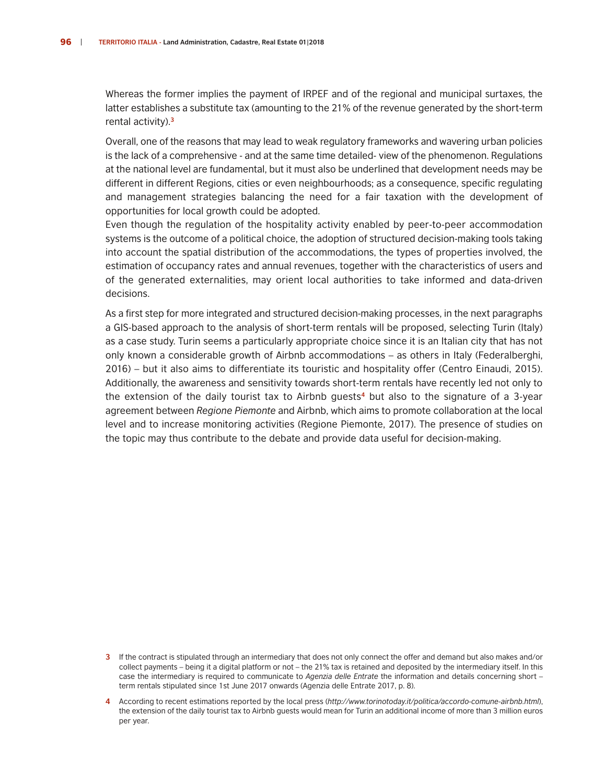Whereas the former implies the payment of IRPEF and of the regional and municipal surtaxes, the latter establishes a substitute tax (amounting to the 21% of the revenue generated by the short-term rental activity). **3**

Overall, one of the reasons that may lead to weak regulatory frameworks and wavering urban policies is the lack of a comprehensive - and at the same time detailed- view of the phenomenon. Regulations at the national level are fundamental, but it must also be underlined that development needs may be different in different Regions, cities or even neighbourhoods; as a consequence, specific regulating and management strategies balancing the need for a fair taxation with the development of opportunities for local growth could be adopted.

Even though the regulation of the hospitality activity enabled by peer-to-peer accommodation systems is the outcome of a political choice, the adoption of structured decision-making tools taking into account the spatial distribution of the accommodations, the types of properties involved, the estimation of occupancy rates and annual revenues, together with the characteristics of users and of the generated externalities, may orient local authorities to take informed and data-driven decisions.

As a first step for more integrated and structured decision-making processes, in the next paragraphs a GIS-based approach to the analysis of short-term rentals will be proposed, selecting Turin (Italy) as a case study. Turin seems a particularly appropriate choice since it is an Italian city that has not only known a considerable growth of Airbnb accommodations – as others in Italy (Federalberghi, 2016) – but it also aims to differentiate its touristic and hospitality offer (Centro Einaudi, 2015). Additionally, the awareness and sensitivity towards short-term rentals have recently led not only to the extension of the daily tourist tax to Airbnb guests**<sup>4</sup>** but also to the signature of a 3-year agreement between *Regione Piemonte* and Airbnb, which aims to promote collaboration at the local level and to increase monitoring activities (Regione Piemonte, 2017). The presence of studies on the topic may thus contribute to the debate and provide data useful for decision-making.

- **3** If the contract is stipulated through an intermediary that does not only connect the offer and demand but also makes and/or collect payments – being it a digital platform or not – the 21% tax is retained and deposited by the intermediary itself. In this case the intermediary is required to communicate to *Agenzia delle Entrate* the information and details concerning short – term rentals stipulated since 1st June 2017 onwards (Agenzia delle Entrate 2017, p. 8).
- **4** According to recent estimations reported by the local press (*http://www.torinotoday.it/politica/accordo-comune-airbnb.html*), the extension of the daily tourist tax to Airbnb guests would mean for Turin an additional income of more than 3 million euros per year.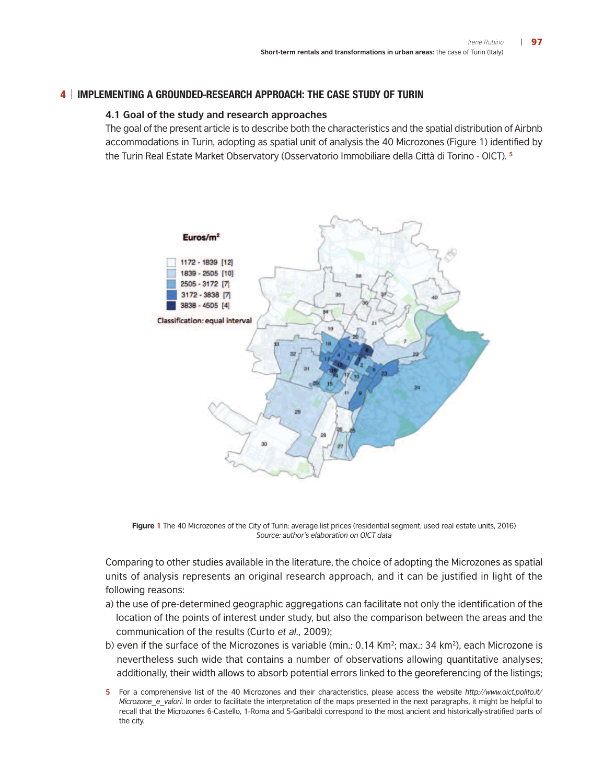## **4 | IMPLEMENTING A GROUNDED-RESEARCH APPROACH: THE CASE STUDY OF TURIN**

#### **4.1 Goal of the study and research approaches**

The goal of the present article is to describe both the characteristics and the spatial distribution of Airbnb accommodations in Turin, adopting as spatial unit of analysis the 40 Microzones (Figure 1) identified by the Turin Real Estate Market Observatory (Osservatorio Immobiliare della Città di Torino - OICT). **<sup>5</sup>**



**Figure 1** The 40 Microzones of the City of Turin: average list prices (residential segment, used real estate units, 2016) *Source: author's elaboration on OICT data*

Comparing to other studies available in the literature, the choice of adopting the Microzones as spatial units of analysis represents an original research approach, and it can be justified in light of the following reasons:

- a) the use of pre-determined geographic aggregations can facilitate not only the identification of the location of the points of interest under study, but also the comparison between the areas and the communication of the results (Curto *et al.*, 2009);
- b) even if the surface of the Microzones is variable (min.:  $0.14 \text{ km}^2$ ; max.:  $34 \text{ km}^2$ ), each Microzone is nevertheless such wide that contains a number of observations allowing quantitative analyses; additionally, their width allows to absorb potential errors linked to the georeferencing of the listings;
- **5** For a comprehensive list of the 40 Microzones and their characteristics, please access the website *http://www.oict.polito.it/ Microzone\_e\_valori*. In order to facilitate the interpretation of the maps presented in the next paragraphs, it might be helpful to recall that the Microzones 6-Castello, 1-Roma and 5-Garibaldi correspond to the most ancient and historically-stratified parts of the city.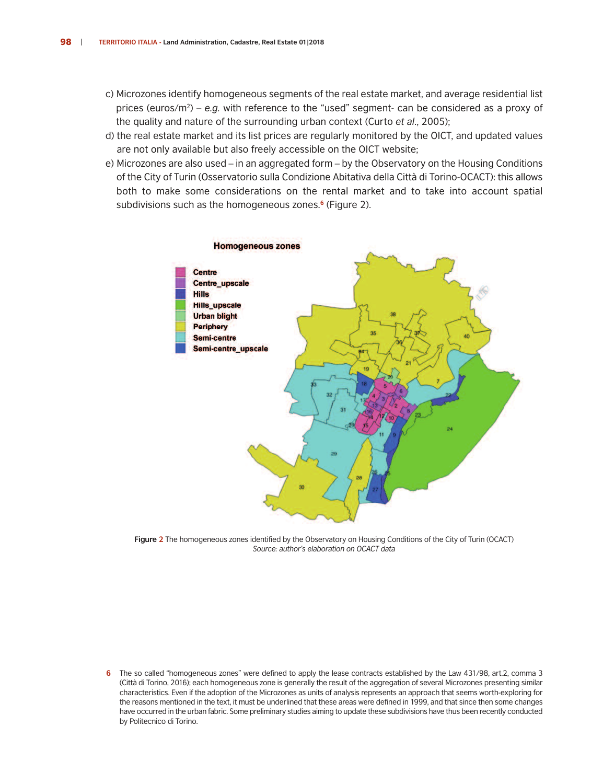- c) Microzones identify homogeneous segments of the real estate market, and average residential list prices (euros/m2) – *e.g.* with reference to the "used" segment- can be considered as a proxy of the quality and nature of the surrounding urban context (Curto *et al*., 2005);
- d) the real estate market and its list prices are regularly monitored by the OICT, and updated values are not only available but also freely accessible on the OICT website;
- e) Microzones are also used in an aggregated form by the Observatory on the Housing Conditions of the City of Turin (Osservatorio sulla Condizione Abitativa della Città di Torino-OCACT): this allows both to make some considerations on the rental market and to take into account spatial subdivisions such as the homogeneous zones. **<sup>6</sup>** (Figure 2).



**Figure 2** The homogeneous zones identified by the Observatory on Housing Conditions of the City of Turin (OCACT) *Source: author's elaboration on OCACT data*

**6** The so called "homogeneous zones" were defined to apply the lease contracts established by the Law 431/98, art.2, comma 3 (Città di Torino, 2016); each homogeneous zone is generally the result of the aggregation of several Microzones presenting similar characteristics. Even if the adoption of the Microzones as units of analysis represents an approach that seems worth-exploring for the reasons mentioned in the text, it must be underlined that these areas were defined in 1999, and that since then some changes have occurred in the urban fabric. Some preliminary studies aiming to update these subdivisions have thus been recently conducted by Politecnico di Torino.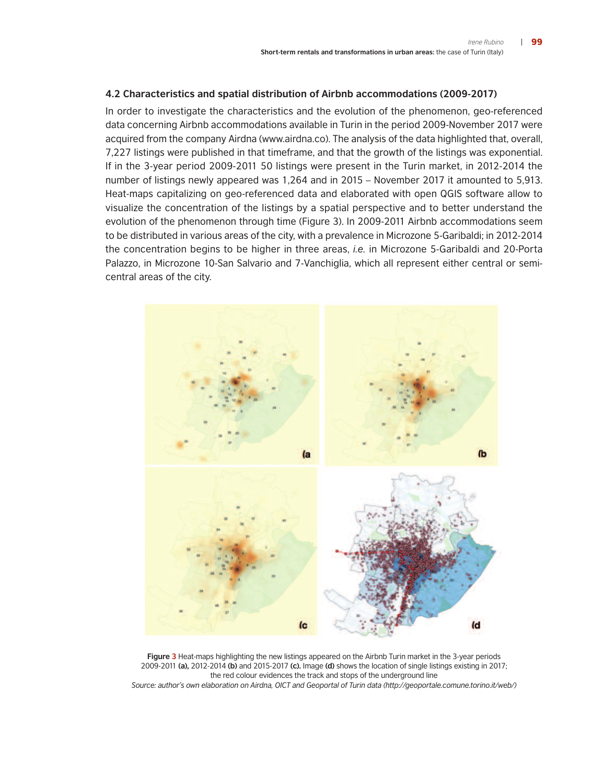#### **4.2 Characteristics and spatial distribution of Airbnb accommodations (2009-2017)**

In order to investigate the characteristics and the evolution of the phenomenon, geo-referenced data concerning Airbnb accommodations available in Turin in the period 2009-November 2017 were acquired from the company Airdna (www.airdna.co). The analysis of the data highlighted that, overall, 7,227 listings were published in that timeframe, and that the growth of the listings was exponential. If in the 3-year period 2009-2011 50 listings were present in the Turin market, in 2012-2014 the number of listings newly appeared was 1,264 and in 2015 – November 2017 it amounted to 5,913. Heat-maps capitalizing on geo-referenced data and elaborated with open QGIS software allow to visualize the concentration of the listings by a spatial perspective and to better understand the evolution of the phenomenon through time (Figure 3). In 2009-2011 Airbnb accommodations seem to be distributed in various areas of the city, with a prevalence in Microzone 5-Garibaldi; in 2012-2014 the concentration begins to be higher in three areas, *i.e.* in Microzone 5-Garibaldi and 20-Porta Palazzo, in Microzone 10-San Salvario and 7-Vanchiglia, which all represent either central or semicentral areas of the city.



**Figure 3** Heat-maps highlighting the new listings appeared on the Airbnb Turin market in the 3-year periods 2009-2011 **(a),** 2012-2014 **(b)** and 2015-2017 **(c).** Image **(d)** shows the location of single listings existing in 2017; the red colour evidences the track and stops of the underground line

*Source: author's own elaboration on Airdna, OICT and Geoportal of Turin data (http://geoportale.comune.torino.it/web/)*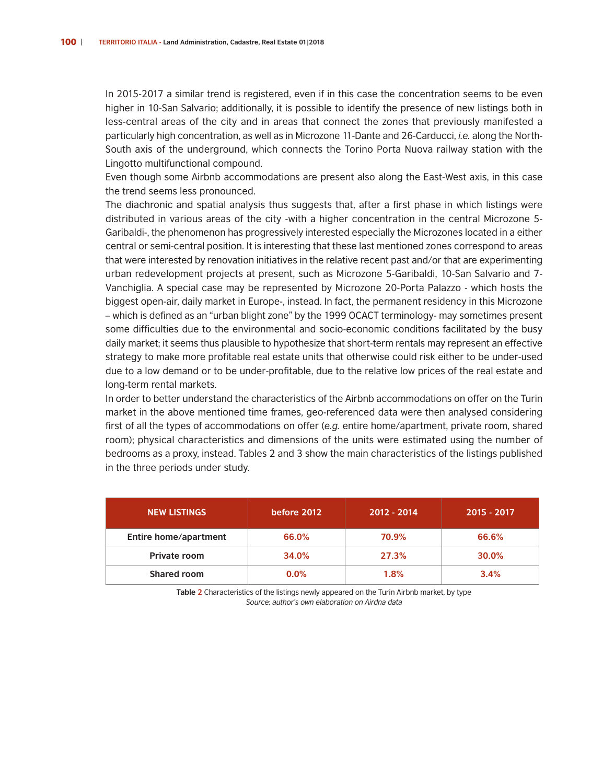In 2015-2017 a similar trend is registered, even if in this case the concentration seems to be even higher in 10-San Salvario; additionally, it is possible to identify the presence of new listings both in less-central areas of the city and in areas that connect the zones that previously manifested a particularly high concentration, as well as in Microzone 11-Dante and 26-Carducci, *i.e.* along the North-South axis of the underground, which connects the Torino Porta Nuova railway station with the Lingotto multifunctional compound.

Even though some Airbnb accommodations are present also along the East-West axis, in this case the trend seems less pronounced.

The diachronic and spatial analysis thus suggests that, after a first phase in which listings were distributed in various areas of the city -with a higher concentration in the central Microzone 5- Garibaldi-, the phenomenon has progressively interested especially the Microzones located in a either central or semi-central position. It is interesting that these last mentioned zones correspond to areas that were interested by renovation initiatives in the relative recent past and/or that are experimenting urban redevelopment projects at present, such as Microzone 5-Garibaldi, 10-San Salvario and 7- Vanchiglia. A special case may be represented by Microzone 20-Porta Palazzo - which hosts the biggest open-air, daily market in Europe-, instead. In fact, the permanent residency in this Microzone – which is defined as an "urban blight zone" by the 1999 OCACT terminology- may sometimes present some difficulties due to the environmental and socio-economic conditions facilitated by the busy daily market; it seems thus plausible to hypothesize that short-term rentals may represent an effective strategy to make more profitable real estate units that otherwise could risk either to be under-used due to a low demand or to be under-profitable, due to the relative low prices of the real estate and long-term rental markets.

In order to better understand the characteristics of the Airbnb accommodations on offer on the Turin market in the above mentioned time frames, geo-referenced data were then analysed considering first of all the types of accommodations on offer (*e.g.* entire home/apartment, private room, shared room); physical characteristics and dimensions of the units were estimated using the number of bedrooms as a proxy, instead. Tables 2 and 3 show the main characteristics of the listings published in the three periods under study.

| <b>NEW LISTINGS</b>          | before 2012 | 2012 - 2014 | $2015 - 2017$ |  |  |
|------------------------------|-------------|-------------|---------------|--|--|
| <b>Entire home/apartment</b> | 66.0%       | 70.9%       | 66.6%         |  |  |
| Private room                 | 34.0%       | 27.3%       | 30.0%         |  |  |
| Shared room                  | $0.0\%$     | 1.8%        | 3.4%          |  |  |

**Table 2** Characteristics of the listings newly appeared on the Turin Airbnb market, by type *Source: author's own elaboration on Airdna data*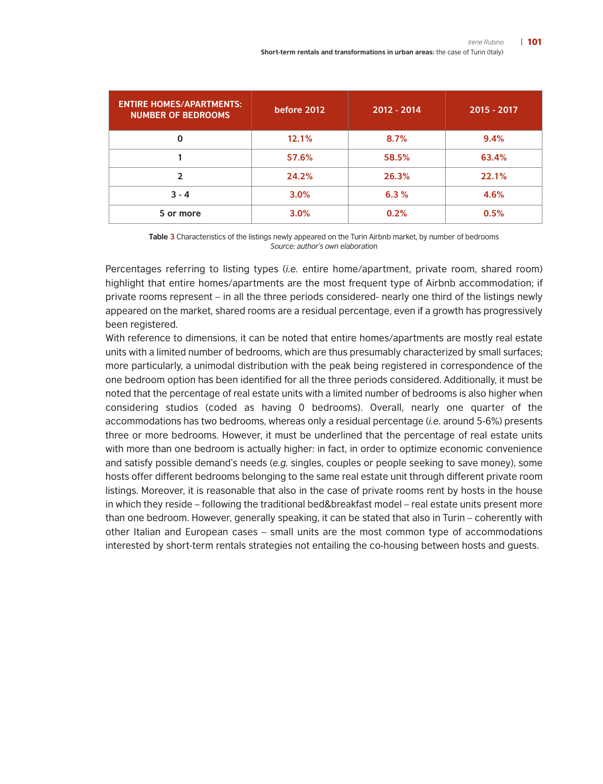| <b>ENTIRE HOMES/APARTMENTS:</b><br><b>NUMBER OF BEDROOMS</b> | before 2012 | 2012 - 2014 | 2015 - 2017 |  |
|--------------------------------------------------------------|-------------|-------------|-------------|--|
| 0                                                            | 12.1%       | 8.7%        | 9.4%        |  |
|                                                              | 57.6%       | 58.5%       | 63.4%       |  |
| 2                                                            | 24.2%       | 26.3%       | 22.1%       |  |
| $3 - 4$                                                      | 3.0%        | 6.3%        | 4.6%        |  |
| 5 or more                                                    | 3.0%        | 0.2%        | 0.5%        |  |

**Table 3** Characteristics of the listings newly appeared on the Turin Airbnb market, by number of bedrooms *Source: author's own elaboratio*n

Percentages referring to listing types (*i.e.* entire home/apartment, private room, shared room) highlight that entire homes/apartments are the most frequent type of Airbnb accommodation; if private rooms represent – in all the three periods considered- nearly one third of the listings newly appeared on the market, shared rooms are a residual percentage, even if a growth has progressively been registered.

With reference to dimensions, it can be noted that entire homes/apartments are mostly real estate units with a limited number of bedrooms, which are thus presumably characterized by small surfaces; more particularly, a unimodal distribution with the peak being registered in correspondence of the one bedroom option has been identified for all the three periods considered. Additionally, it must be noted that the percentage of real estate units with a limited number of bedrooms is also higher when considering studios (coded as having 0 bedrooms). Overall, nearly one quarter of the accommodations has two bedrooms, whereas only a residual percentage (*i.e*. around 5-6%) presents three or more bedrooms. However, it must be underlined that the percentage of real estate units with more than one bedroom is actually higher: in fact, in order to optimize economic convenience and satisfy possible demand's needs (*e.g.* singles, couples or people seeking to save money), some hosts offer different bedrooms belonging to the same real estate unit through different private room listings. Moreover, it is reasonable that also in the case of private rooms rent by hosts in the house in which they reside – following the traditional bed&breakfast model – real estate units present more than one bedroom. However, generally speaking, it can be stated that also in Turin – coherently with other Italian and European cases – small units are the most common type of accommodations interested by short-term rentals strategies not entailing the co-housing between hosts and guests.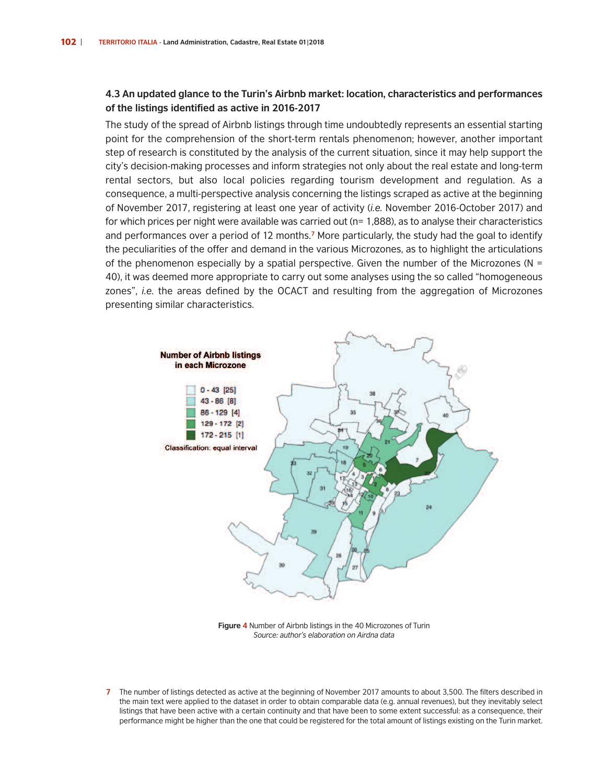### **4.3 An updated glance to the Turin's Airbnb market: location, characteristics and performances of the listings identified as active in 2016-2017**

The study of the spread of Airbnb listings through time undoubtedly represents an essential starting point for the comprehension of the short-term rentals phenomenon; however, another important step of research is constituted by the analysis of the current situation, since it may help support the city's decision-making processes and inform strategies not only about the real estate and long-term rental sectors, but also local policies regarding tourism development and regulation. As a consequence, a multi-perspective analysis concerning the listings scraped as active at the beginning of November 2017, registering at least one year of activity (*i.e.* November 2016-October 2017) and for which prices per night were available was carried out (n= 1,888), as to analyse their characteristics and performances over a period of 12 months. **<sup>7</sup>** More particularly, the study had the goal to identify the peculiarities of the offer and demand in the various Microzones, as to highlight the articulations of the phenomenon especially by a spatial perspective. Given the number of the Microzones ( $N =$ 40), it was deemed more appropriate to carry out some analyses using the so called "homogeneous zones", *i.e.* the areas defined by the OCACT and resulting from the aggregation of Microzones presenting similar characteristics.



**Figure 4** Number of Airbnb listings in the 40 Microzones of Turin *Source: author's elaboration on Airdna data*

**7** The number of listings detected as active at the beginning of November 2017 amounts to about 3,500. The filters described in the main text were applied to the dataset in order to obtain comparable data (e.g. annual revenues), but they inevitably select listings that have been active with a certain continuity and that have been to some extent successful: as a consequence, their performance might be higher than the one that could be registered for the total amount of listings existing on the Turin market.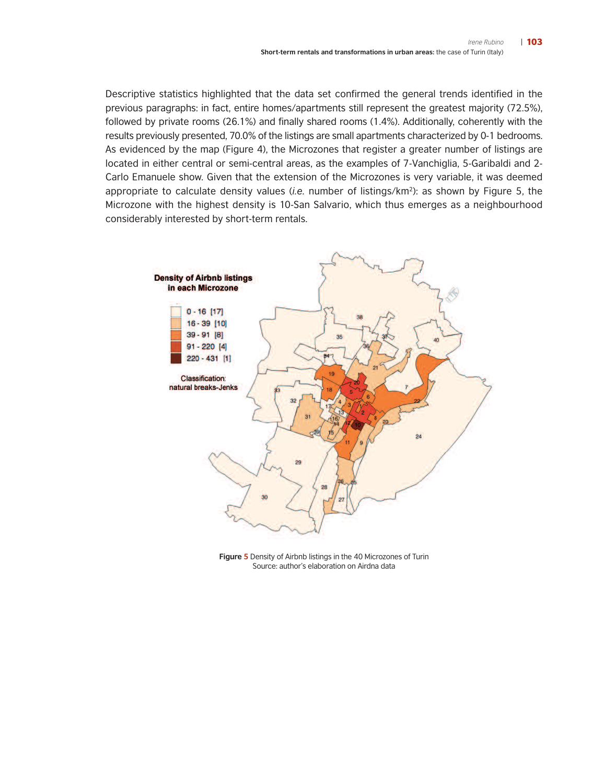Descriptive statistics highlighted that the data set confirmed the general trends identified in the previous paragraphs: in fact, entire homes/apartments still represent the greatest majority (72.5%), followed by private rooms (26.1%) and finally shared rooms (1.4%). Additionally, coherently with the results previously presented, 70.0% of the listings are small apartments characterized by 0-1 bedrooms. As evidenced by the map (Figure 4), the Microzones that register a greater number of listings are located in either central or semi-central areas, as the examples of 7-Vanchiglia, 5-Garibaldi and 2- Carlo Emanuele show. Given that the extension of the Microzones is very variable, it was deemed appropriate to calculate density values (*i.e.* number of listings/km2): as shown by Figure 5, the Microzone with the highest density is 10-San Salvario, which thus emerges as a neighbourhood considerably interested by short-term rentals.



**Figure 5** Density of Airbnb listings in the 40 Microzones of Turin Source: author's elaboration on Airdna data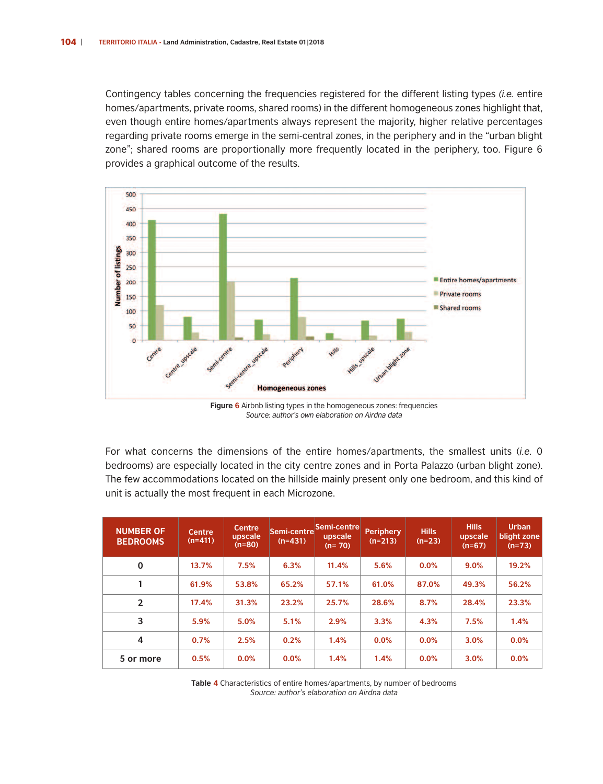Contingency tables concerning the frequencies registered for the different listing types *(i.e.* entire homes/apartments, private rooms, shared rooms) in the different homogeneous zones highlight that, even though entire homes/apartments always represent the majority, higher relative percentages regarding private rooms emerge in the semi-central zones, in the periphery and in the "urban blight zone"; shared rooms are proportionally more frequently located in the periphery, too. Figure 6 provides a graphical outcome of the results.



**Figure 6** Airbnb listing types in the homogeneous zones: frequencies *Source: author's own elaboration on Airdna data*

For what concerns the dimensions of the entire homes/apartments, the smallest units (*i.e.* 0 bedrooms) are especially located in the city centre zones and in Porta Palazzo (urban blight zone). The few accommodations located on the hillside mainly present only one bedroom, and this kind of unit is actually the most frequent in each Microzone.

| <b>NUMBER OF</b><br><b>BEDROOMS</b> | <b>Centre</b><br>$(n=411)$ | <b>Centre</b><br>upscale<br>$(n=80)$ | Semi-centre<br>$(n=431)$ | Semi-centre<br>upscale<br>$(n=70)$ | <b>Periphery</b><br>$(n=213)$ | <b>Hills</b><br>$(n=23)$ | <b>Hills</b><br>upscale<br>$(n=67)$ | <b>Urban</b><br>blight zone<br>$(n=73)$ |
|-------------------------------------|----------------------------|--------------------------------------|--------------------------|------------------------------------|-------------------------------|--------------------------|-------------------------------------|-----------------------------------------|
| $\mathbf 0$                         | 13.7%                      | 7.5%                                 | 6.3%                     | 11.4%                              | 5.6%                          | 0.0%                     | 9.0%                                | 19.2%                                   |
|                                     | 61.9%                      | 53.8%                                | 65.2%                    | 57.1%                              | 61.0%                         | 87.0%                    | 49.3%                               | 56.2%                                   |
| $\overline{2}$                      | 17.4%                      | 31.3%                                | 23.2%                    | 25.7%                              | 28.6%                         | 8.7%                     | 28.4%                               | 23.3%                                   |
| 3                                   | 5.9%                       | 5.0%                                 | 5.1%                     | 2.9%                               | 3.3%                          | 4.3%                     | 7.5%                                | 1.4%                                    |
| 4                                   | 0.7%                       | 2.5%                                 | 0.2%                     | 1.4%                               | 0.0%                          | 0.0%                     | 3.0%                                | 0.0%                                    |
| 5 or more                           | 0.5%                       | 0.0%                                 | 0.0%                     | 1.4%                               | 1.4%                          | 0.0%                     | 3.0%                                | 0.0%                                    |

**Table 4** Characteristics of entire homes/apartments, by number of bedrooms *Source: author's elaboration on Airdna data*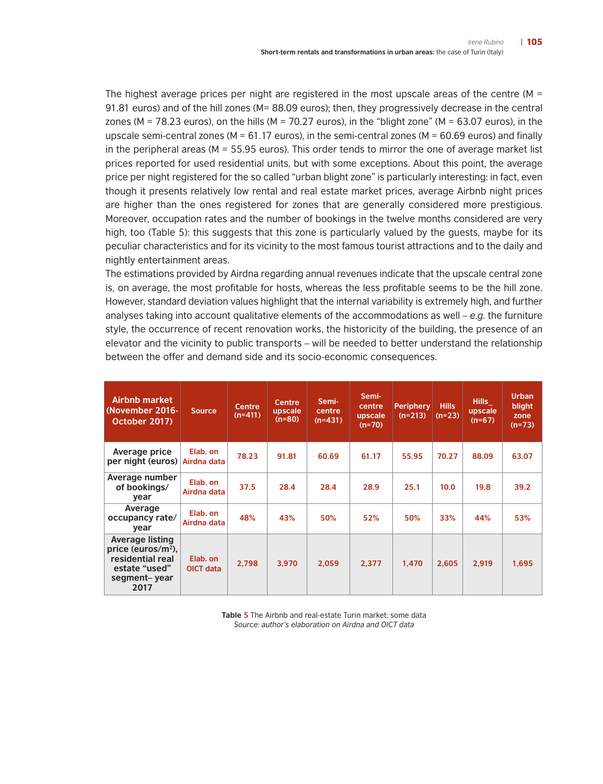The highest average prices per night are registered in the most upscale areas of the centre ( $M =$ 91.81 euros) and of the hill zones (M= 88.09 euros); then, they progressively decrease in the central zones (M = 78.23 euros), on the hills (M = 70.27 euros), in the "blight zone" (M = 63.07 euros), in the upscale semi-central zones ( $M = 61.17$  euros), in the semi-central zones ( $M = 60.69$  euros) and finally in the peripheral areas ( $M = 55.95$  euros). This order tends to mirror the one of average market list prices reported for used residential units, but with some exceptions. About this point, the average price per night registered for the so called "urban blight zone" is particularly interesting: in fact, even though it presents relatively low rental and real estate market prices, average Airbnb night prices are higher than the ones registered for zones that are generally considered more prestigious. Moreover, occupation rates and the number of bookings in the twelve months considered are very high, too (Table 5): this suggests that this zone is particularly valued by the guests, maybe for its peculiar characteristics and for its vicinity to the most famous tourist attractions and to the daily and nightly entertainment areas.

The estimations provided by Airdna regarding annual revenues indicate that the upscale central zone is, on average, the most profitable for hosts, whereas the less profitable seems to be the hill zone. However, standard deviation values highlight that the internal variability is extremely high, and further analyses taking into account qualitative elements of the accommodations as well – *e.g.* the furniture style, the occurrence of recent renovation works, the historicity of the building, the presence of an elevator and the vicinity to public transports – will be needed to better understand the relationship between the offer and demand side and its socio-economic consequences.

| Airbnb market<br>(November 2016-<br>October 2017)                                                      | <b>Source</b>                | <b>Centre</b><br>$(n=411)$ | <b>Centre</b><br>upscale<br>$(n=80)$ | Semi-<br>centre<br>$(n=431)$ | Semi-<br>centre<br>upscale<br>$(n=70)$ | <b>Periphery</b><br>$(n=213)$ | <b>Hills</b><br>$(n=23)$ | <b>Hills</b><br>upscale<br>$(n=67)$ | <b>Urban</b><br>blight<br>zone<br>$(n=73)$ |
|--------------------------------------------------------------------------------------------------------|------------------------------|----------------------------|--------------------------------------|------------------------------|----------------------------------------|-------------------------------|--------------------------|-------------------------------------|--------------------------------------------|
| Average price<br>per night (euros)                                                                     | Elab. on<br>Airdna data      | 78.23                      | 91.81                                | 60.69                        | 61.17                                  | 55.95                         | 70.27                    | 88.09                               | 63.07                                      |
| Average number<br>of bookings/<br>year                                                                 | Elab. on<br>Airdna data      | 37.5                       | 28.4                                 | 28.4                         | 28.9                                   | 25.1                          | 10.0                     | 19.8                                | 39.2                                       |
| Average<br>occupancy rate/<br>year                                                                     | Elab. on<br>Airdna data      | 48%                        | 43%                                  | 50%                          | 52%                                    | 50%                           | 33%                      | 44%                                 | 53%                                        |
| Average listing<br>price (euros/ $m^2$ ),<br>residential real<br>estate "used"<br>segment-year<br>2017 | Elab. on<br><b>OICT data</b> | 2,798                      | 3.970                                | 2.059                        | 2.377                                  | 1.470                         | 2.605                    | 2.919                               | 1,695                                      |

**Table 5** The Airbnb and real-estate Turin market: some data *Source: author's elaboration on Airdna and OICT data*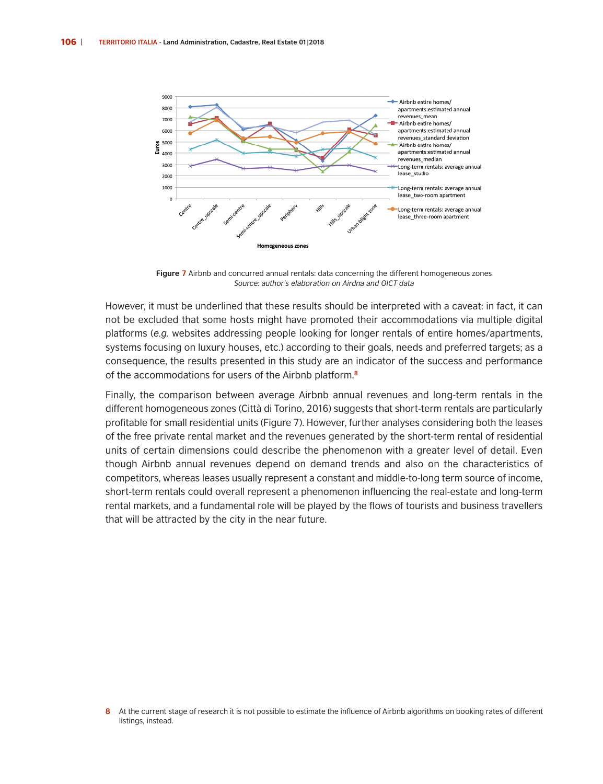

**Figure 7** Airbnb and concurred annual rentals: data concerning the different homogeneous zones *Source: author's elaboration on Airdna and OICT data*

However, it must be underlined that these results should be interpreted with a caveat: in fact, it can not be excluded that some hosts might have promoted their accommodations via multiple digital platforms (*e.g.* websites addressing people looking for longer rentals of entire homes/apartments, systems focusing on luxury houses, etc.) according to their goals, needs and preferred targets; as a consequence, the results presented in this study are an indicator of the success and performance of the accommodations for users of the Airbnb platform. **8**

Finally, the comparison between average Airbnb annual revenues and long-term rentals in the different homogeneous zones (Città di Torino, 2016) suggests that short-term rentals are particularly profitable for small residential units (Figure 7). However, further analyses considering both the leases of the free private rental market and the revenues generated by the short-term rental of residential units of certain dimensions could describe the phenomenon with a greater level of detail. Even though Airbnb annual revenues depend on demand trends and also on the characteristics of competitors, whereas leases usually represent a constant and middle-to-long term source of income, short-term rentals could overall represent a phenomenon influencing the real-estate and long-term rental markets, and a fundamental role will be played by the flows of tourists and business travellers that will be attracted by the city in the near future.

**<sup>8</sup>** At the current stage of research it is not possible to estimate the influence of Airbnb algorithms on booking rates of different listings, instead.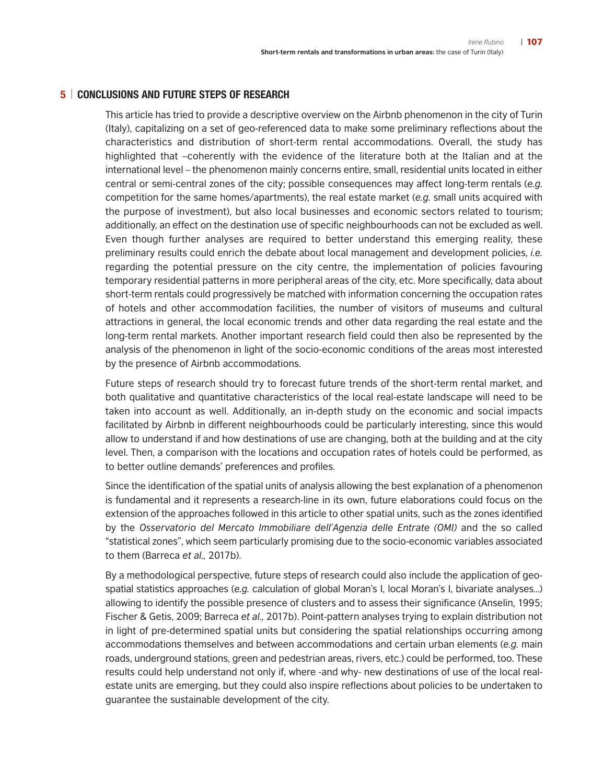#### **5 | CONCLUSIONS AND FUTURE STEPS OF RESEARCH**

This article has tried to provide a descriptive overview on the Airbnb phenomenon in the city of Turin (Italy), capitalizing on a set of geo-referenced data to make some preliminary reflections about the characteristics and distribution of short-term rental accommodations. Overall, the study has highlighted that –coherently with the evidence of the literature both at the Italian and at the international level – the phenomenon mainly concerns entire, small, residential units located in either central or semi-central zones of the city; possible consequences may affect long-term rentals (*e.g.* competition for the same homes/apartments), the real estate market (*e.g.* small units acquired with the purpose of investment), but also local businesses and economic sectors related to tourism; additionally, an effect on the destination use of specific neighbourhoods can not be excluded as well. Even though further analyses are required to better understand this emerging reality, these preliminary results could enrich the debate about local management and development policies, *i.e.* regarding the potential pressure on the city centre, the implementation of policies favouring temporary residential patterns in more peripheral areas of the city, etc. More specifically, data about short-term rentals could progressively be matched with information concerning the occupation rates of hotels and other accommodation facilities, the number of visitors of museums and cultural attractions in general, the local economic trends and other data regarding the real estate and the long-term rental markets. Another important research field could then also be represented by the analysis of the phenomenon in light of the socio-economic conditions of the areas most interested by the presence of Airbnb accommodations.

Future steps of research should try to forecast future trends of the short-term rental market, and both qualitative and quantitative characteristics of the local real-estate landscape will need to be taken into account as well. Additionally, an in-depth study on the economic and social impacts facilitated by Airbnb in different neighbourhoods could be particularly interesting, since this would allow to understand if and how destinations of use are changing, both at the building and at the city level. Then, a comparison with the locations and occupation rates of hotels could be performed, as to better outline demands' preferences and profiles.

Since the identification of the spatial units of analysis allowing the best explanation of a phenomenon is fundamental and it represents a research-line in its own, future elaborations could focus on the extension of the approaches followed in this article to other spatial units, such as the zones identified by the *Osservatorio del Mercato Immobiliare dell'Agenzia delle Entrate (OMI)* and the so called "statistical zones", which seem particularly promising due to the socio-economic variables associated to them (Barreca *et al.,* 2017b).

By a methodological perspective, future steps of research could also include the application of geospatial statistics approaches (*e.g.* calculation of global Moran's I, local Moran's I, bivariate analyses…) allowing to identify the possible presence of clusters and to assess their significance (Anselin, 1995; Fischer & Getis, 2009; Barreca *et al.,* 2017b). Point-pattern analyses trying to explain distribution not in light of pre-determined spatial units but considering the spatial relationships occurring among accommodations themselves and between accommodations and certain urban elements (*e.g.* main roads, underground stations, green and pedestrian areas, rivers, etc.) could be performed, too. These results could help understand not only if, where -and why- new destinations of use of the local realestate units are emerging, but they could also inspire reflections about policies to be undertaken to guarantee the sustainable development of the city.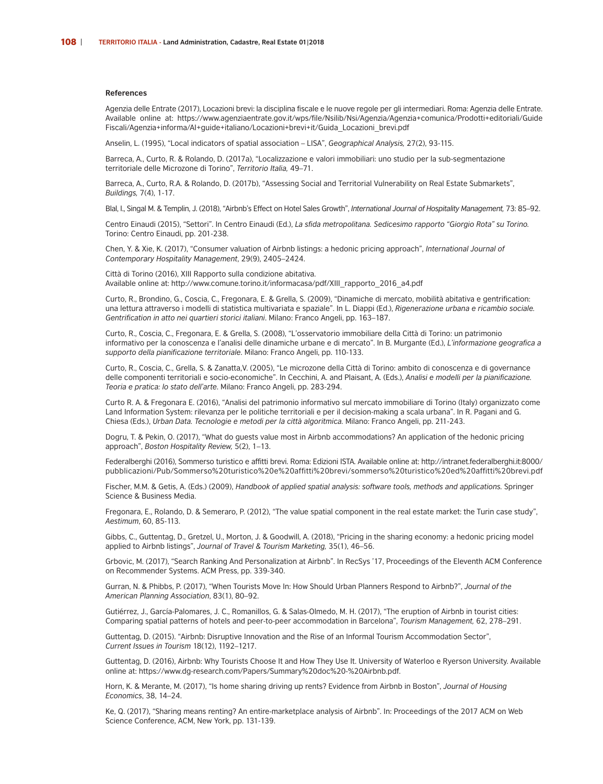#### **References**

Agenzia delle Entrate (2017), Locazioni brevi: la disciplina fiscale e le nuove regole per gli intermediari. Roma: Agenzia delle Entrate. Available online at: https://www.agenziaentrate.gov.it/wps/file/Nsilib/Nsi/Agenzia/Agenzia+comunica/Prodotti+editoriali/Guide Fiscali/Agenzia+informa/AI+guide+italiano/Locazioni+brevi+it/Guida\_Locazioni\_brevi.pdf

Anselin, L. (1995), "Local indicators of spatial association – LISA", *Geographical Analysis,* 27(2), 93-115.

Barreca, A., Curto, R. & Rolando, D. (2017a), "Localizzazione e valori immobiliari: uno studio per la sub-segmentazione territoriale delle Microzone di Torino", *Territorio Italia,* 49–71.

Barreca, A., Curto, R.A. & Rolando, D. (2017b), "Assessing Social and Territorial Vulnerability on Real Estate Submarkets", *Buildings,* 7(4), 1-17.

Blal, I., Singal M. & Templin, J. (2018), "Airbnb's Effect on Hotel Sales Growth", *International Journal of Hospitality Management,* 73: 85–92.

Centro Einaudi (2015), "Settori". In Centro Einaudi (Ed.), *La sfida metropolitana. Sedicesimo rapporto "Giorgio Rota" su Torino.* Torino: Centro Einaudi, pp. 201-238.

Chen, Y. & Xie, K. (2017), "Consumer valuation of Airbnb listings: a hedonic pricing approach", *International Journal of Contemporary Hospitality Management*, 29(9), 2405–2424.

Città di Torino (2016), XIII Rapporto sulla condizione abitativa. Available online at: http://www.comune.torino.it/informacasa/pdf/XIII\_rapporto\_2016\_a4.pdf

Curto, R., Brondino, G., Coscia, C., Fregonara, E. & Grella, S. (2009), "Dinamiche di mercato, mobilità abitativa e gentrification: una lettura attraverso i modelli di statistica multivariata e spaziale". In L. Diappi (Ed.), *Rigenerazione urbana e ricambio sociale. Gentrification in atto nei quartieri storici italiani*. Milano: Franco Angeli, pp. 163–187.

Curto, R., Coscia, C., Fregonara, E. & Grella, S. (2008), "L'osservatorio immobiliare della Città di Torino: un patrimonio informativo per la conoscenza e l'analisi delle dinamiche urbane e di mercato". In B. Murgante (Ed.), *L'informazione geografica a supporto della pianificazione territoriale*. Milano: Franco Angeli, pp. 110-133.

Curto, R., Coscia, C., Grella, S. & Zanatta,V. (2005), "Le microzone della Città di Torino: ambito di conoscenza e di governance delle componenti territoriali e socio-economiche". In Cecchini, A. and Plaisant, A. (Eds.), *Analisi e modelli per la pianificazione. Teoria e pratica: lo stato dell'arte*. Milano: Franco Angeli, pp. 283-294.

Curto R. A. & Fregonara E. (2016), "Analisi del patrimonio informativo sul mercato immobiliare di Torino (Italy) organizzato come Land Information System: rilevanza per le politiche territoriali e per il decision-making a scala urbana". In R. Pagani and G. Chiesa (Eds.), *Urban Data. Tecnologie e metodi per la città algoritmica.* Milano: Franco Angeli, pp. 211-243.

Dogru, T. & Pekin, O. (2017), "What do guests value most in Airbnb accommodations? An application of the hedonic pricing approach", *Boston Hospitality Review,* 5(2), 1–13.

Federalberghi (2016), Sommerso turistico e affitti brevi. Roma: Edizioni ISTA. Available online at: http://intranet.federalberghi.it:8000/ pubblicazioni/Pub/Sommerso%20turistico%20e%20affitti%20brevi/sommerso%20turistico%20ed%20affitti%20brevi.pdf

Fischer, M.M. & Getis, A. (Eds.) (2009), *Handbook of applied spatial analysis: software tools, methods and applications.* Springer Science & Business Media.

Fregonara, E., Rolando, D. & Semeraro, P. (2012), "The value spatial component in the real estate market: the Turin case study", *Aestimum*, 60, 85-113.

Gibbs, C., Guttentag, D., Gretzel, U., Morton, J. & Goodwill, A. (2018), "Pricing in the sharing economy: a hedonic pricing model applied to Airbnb listings", *Journal of Travel & Tourism Marketing,* 35(1), 46–56.

Grbovic, M. (2017), "Search Ranking And Personalization at Airbnb". In RecSys '17, Proceedings of the Eleventh ACM Conference on Recommender Systems. ACM Press, pp. 339-340.

Gurran, N. & Phibbs, P. (2017), "When Tourists Move In: How Should Urban Planners Respond to Airbnb?", *Journal of the American Planning Association*, 83(1), 80–92.

Gutiérrez, J., García-Palomares, J. C., Romanillos, G. & Salas-Olmedo, M. H. (2017), "The eruption of Airbnb in tourist cities: Comparing spatial patterns of hotels and peer-to-peer accommodation in Barcelona", *Tourism Management,* 62, 278–291.

Guttentag, D. (2015). "Airbnb: Disruptive Innovation and the Rise of an Informal Tourism Accommodation Sector", *Current Issues in Tourism* 18(12), 1192–1217.

Guttentag, D. (2016), Airbnb: Why Tourists Choose It and How They Use It. University of Waterloo e Ryerson University. Available online at: https://www.dg-research.com/Papers/Summary%20doc%20-%20Airbnb.pdf.

Horn, K. & Merante, M. (2017), "Is home sharing driving up rents? Evidence from Airbnb in Boston", *Journal of Housing Economics*, 38, 14–24.

Ke, Q. (2017), "Sharing means renting? An entire-marketplace analysis of Airbnb". In: Proceedings of the 2017 ACM on Web Science Conference, ACM, New York, pp. 131-139.